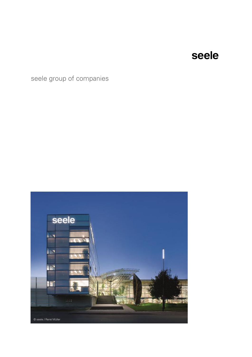## seele group of companies

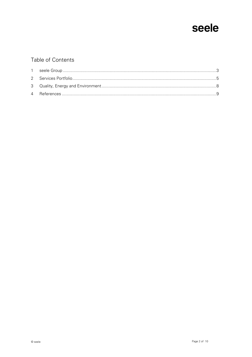### Table of Contents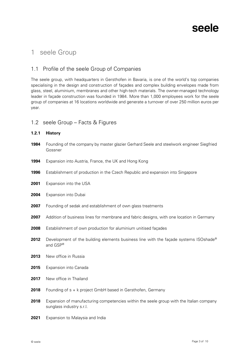

### <span id="page-2-0"></span>1 seele Group

#### 1.1 Profile of the seele Group of Companies

The seele group, with headquarters in Gersthofen in Bavaria, is one of the world's top companies specialising in the design and construction of façades and complex building envelopes made from glass, steel, aluminium, membranes and other high-tech materials. The owner-managed technology leader in façade construction was founded in 1984. More than 1,000 employees work for the seele group of companies at 16 locations worldwide and generate a turnover of over 250 million euros per year.

#### 1.2 seele Group – Facts & Figures

#### **1.2.1 History**

- 1984 Founding of the company by master glazier Gerhard Seele and steelwork engineer Siegfried Gossner
- **1994** Expansion into Austria, France, the UK and Hong Kong
- **1996** Establishment of production in the Czech Republic and expansion into Singapore
- **2001** Expansion into the USA
- **2004** Expansion into Dubai
- **2007** Founding of sedak and establishment of own glass treatments
- **2007** Addition of business lines for membrane and fabric designs, with one location in Germany
- **2008** Establishment of own production for aluminium unitised façades
- **2012** Development of the building elements business line with the facade systems ISOshade<sup>®</sup> and GSP®
- **2013** New office in Russia
- **2015** Expansion into Canada
- **2017** New office in Thailand
- **2018** Founding of s + k project GmbH based in Gersthofen, Germany
- **2018** Expansion of manufacturing competencies within the seele group with the Italian company sunglass industry s.r.l.
- **2021** Expansion to Malaysia and India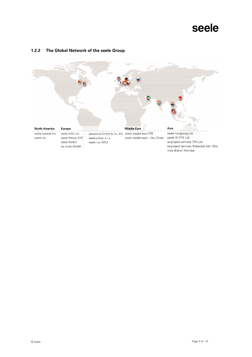#### **1.2.2 The Global Network of the seele Group**

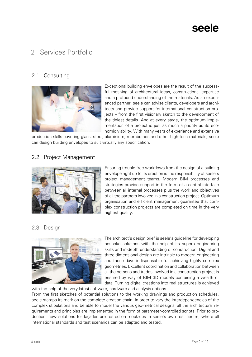### <span id="page-4-0"></span>2 Services Portfolio

### 2.1 Consulting



Exceptional building envelopes are the result of the successful meshing of architectural ideas, constructional expertise and a profound understanding of the materials. As an experienced partner, seele can advise clients, developers and architects and provide support for international construction projects – from the first visionary sketch to the development of the tiniest details. And at every stage, the optimum implementation of a project is just as much a priority as its economic viability. With many years of experience and extensive

production skills covering glass, steel, aluminium, membranes and other high-tech materials, seele can design building envelopes to suit virtually any specification.

### 2.2 Project Management



Ensuring trouble-free workflows from the design of a building envelope right up to its erection is the responsibility of seele's project management teams. Modern BIM processes and strategies provide support in the form of a central interface between all internal processes plus the work and objectives of all the partners involved in a construction project. Optimum organisation and efficient management guarantee that complex construction projects are completed on time in the very highest quality.

### 2.3 Design



The architect's design brief is seele's guideline for developing bespoke solutions with the help of its superb engineering skills and in-depth understanding of construction. Digital and three-dimensional design are intrinsic to modern engineering and these days indispensable for achieving highly complex geometries. Excellent coordination and collaboration between all the persons and trades involved in a construction project is ensured by way of BIM 3D models containing a wealth of data. Turning digital creations into real structures is achieved

with the help of the very latest software, hardware and analysis options. From the first sketches of potential solutions to the working drawings and production schedules, seele stamps its mark on the complete creation chain. In order to vary the interdependencies of the complex stipulations and be able to model the various geo-metrical designs, all the architectural requirements and principles are implemented in the form of parameter-controlled scripts. Prior to production, new solutions for façades are tested on mock-ups in seele's own test centre, where all international standards and test scenarios can be adapted and tested.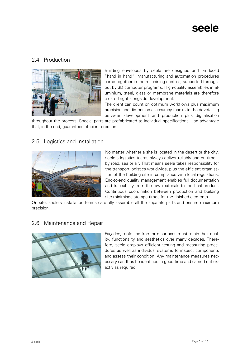### 2.4 Production



Building envelopes by seele are designed and produced "hand in hand": manufacturing and automation procedures come together in the machining centres, supported throughout by 3D computer programs. High-quality assemblies in aluminium, steel, glass or membrane materials are therefore created right alongside development.

The client can count on optimum workflows plus maximum precision and dimension-al accuracy thanks to the dovetailing between development and production plus digitalisation

throughout the process. Special parts are prefabricated to individual specifications – an advantage that, in the end, guarantees efficient erection.

### 2.5 Logistics and Installation



No matter whether a site is located in the desert or the city, seele's logistics teams always deliver reliably and on time – by road, sea or air. That means seele takes responsibility for the transport logistics worldwide, plus the efficient organisation of the building site in compliance with local regulations. End-to-end quality management enables full documentation and traceability from the raw materials to the final product. Continuous coordination between production and building site minimises storage times for the finished elements.

On site, seele's installation teams carefully assemble all the separate parts and ensure maximum precision.

#### 2.6 Maintenance and Repair



Façades, roofs and free-form surfaces must retain their quality, functionality and aesthetics over many decades. Therefore, seele employs efficient testing and measuring procedures as well as individual systems to inspect components and assess their condition. Any maintenance measures necessary can thus be identified in good time and carried out exactly as required.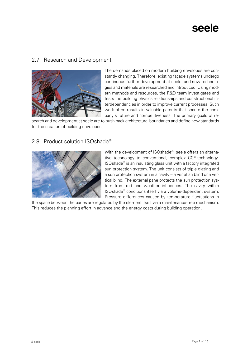#### 2.7 Research and Development



The demands placed on modern building envelopes are constantly changing. Therefore, existing façade systems undergo continuous further development at seele, and new technologies and materials are researched and introduced. Using modern methods and resources, the R&D team investigates and tests the building physics relationships and constructional interdependencies in order to improve current processes. Such work often results in valuable patents that secure the company's future and competitiveness. The primary goals of re-

search and development at seele are to push back architectural boundaries and define new standards for the creation of building envelopes.

#### 2.8 Product solution ISOshade<sup>®</sup>



With the development of ISOshade®, seele offers an alternative technology to conventional, complex CCF-technology. ISOshade® is an insulating glass unit with a factory integrated sun protection system. The unit consists of triple glazing and a sun protection system in a cavity – a venetian blind or a vertical blind. The external pane protects the sun protection system from dirt and weather influences. The cavity within ISOshade® conditions itself via a volume-dependent system. Pressure differences caused by temperature fluctuations in

the space between the panes are regulated by the element itself via a maintenance-free mechanism. This reduces the planning effort in advance and the energy costs during building operation.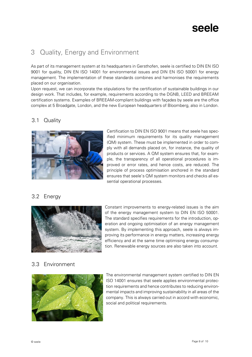## <span id="page-7-0"></span>3 Quality, Energy and Environment

As part of its management system at its headquarters in Gersthofen, seele is certified to DIN EN ISO 9001 for quality, DIN EN ISO 14001 for environmental issues and DIN EN ISO 50001 for energy management. The implementation of these standards combines and harmonises the requirements placed on our organisation.

Upon request, we can incorporate the stipulations for the certification of sustainable buildings in our design work. That includes, for example, requirements according to the DGNB, LEED and BREEAM certification systems. Examples of BREEAM-compliant buildings with façades by seele are the office complex at 5 Broadgate, London, and the new European headquarters of Bloomberg, also in London.

### 3.1 Quality



Certification to DIN EN ISO 9001 means that seele has specified minimum requirements for its quality management (QM) system. These must be implemented in order to comply with all demands placed on, for instance, the quality of products or services. A QM system ensures that, for example, the transparency of all operational procedures is improved or error rates, and hence costs, are reduced. The principle of process optimisation anchored in the standard ensures that seele's QM system monitors and checks all essential operational processes.

### 3.2 Energy



Constant improvements to energy-related issues is the aim of the energy management system to DIN EN ISO 50001. The standard specifies requirements for the introduction, operation and ongoing optimisation of an energy management system. By implementing this approach, seele is always improving its performance in energy matters, increasing energy efficiency and at the same time optimising energy consumption. Renewable energy sources are also taken into account.

#### 3.3 Environment



The environmental management system certified to DIN EN ISO 14001 ensures that seele applies environmental protection requirements and hence contributes to reducing environmental impacts and improving sustainability in all areas of the company. This is always carried out in accord with economic, social and political requirements.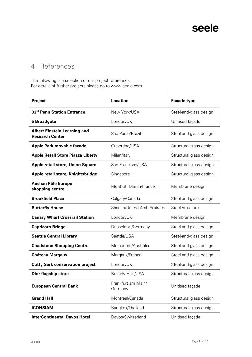## <span id="page-8-0"></span>4 References

The following is a selection of our project references. For details of further projects please go to www.seele.com.

| Project                                                       | <b>Location</b>               | <b>Façade type</b>      |
|---------------------------------------------------------------|-------------------------------|-------------------------|
| 33rd Penn Station Entrance                                    | New York/USA                  | Steel-and-glass design  |
| <b>5 Broadgate</b>                                            | London/UK                     | Unitised façade         |
| <b>Albert Einstein Learning and</b><br><b>Research Center</b> | São Paulo/Brazil              | Steel-and-glass design  |
| Apple Park movable façade                                     | Cupertino/USA                 | Structural glass design |
| <b>Apple Retail Store Piazza Liberty</b>                      | Milan/Italy                   | Structural glass design |
| <b>Apple retail store, Union Square</b>                       | San Francisco/USA             | Structural glass design |
| Apple retail store, Knightsbridge                             | Singapore                     | Structural glass design |
| <b>Auchan Pôle Europe</b><br>shopping centre                  | Mont St. Martin/France        | Membrane design         |
| <b>Brookfield Place</b>                                       | Calgary/Canada                | Steel-and-glass design  |
| <b>Butterfly House</b>                                        | Sharjah/United Arab Emirates  | Steel structure         |
| <b>Canary Wharf Crossrail Station</b>                         | London/UK                     | Membrane design         |
| <b>Capricorn Bridge</b>                                       | Dusseldorf/Germany            | Steel-and-glass design  |
| <b>Seattle Central Library</b>                                | Seattle/USA                   | Steel-and-glass design  |
| <b>Chadstone Shopping Centre</b>                              | Melbourne/Australia           | Steel-and-glass design  |
| <b>Château Margaux</b>                                        | Margaux/France                | Steel-and-glass design  |
| <b>Cutty Sark conservation project</b>                        | London/UK                     | Steel-and-glass design  |
| <b>Dior flagship store</b>                                    | Beverly Hills/USA             | Structural glass design |
| <b>European Central Bank</b>                                  | Frankfurt am Main/<br>Germany | Unitised façade         |
| <b>Grand Hall</b>                                             | Montreal/Canada               | Structural glass design |
| <b>ICONSIAM</b>                                               | Bangkok/Thailand              | Structural glass design |
| <b>InterContinental Davos Hotel</b>                           | Davos/Switzerland             | Unitised façade         |